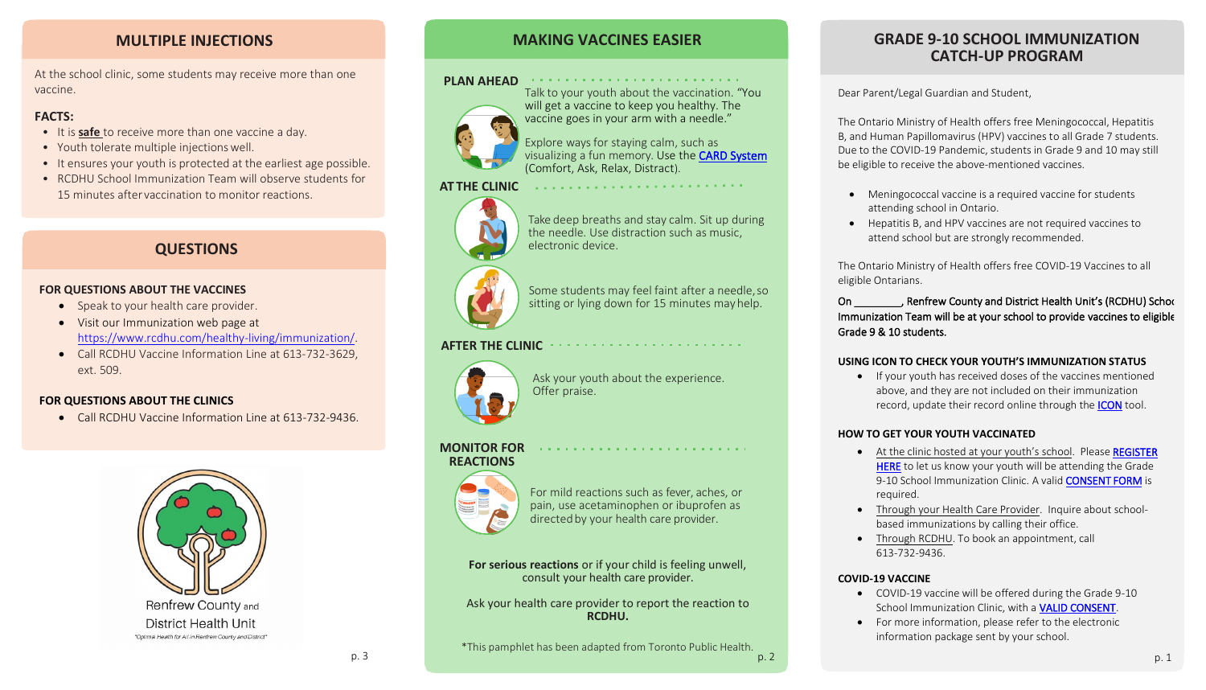## **MAKING VACCINES EASIER**

#### **PLAN AHEAD**  $\alpha$  , and the second contribution of the second contribution of the second contribution of  $\alpha$



Talk to your youth about the vaccination. "You will get a vaccine to keep you healthy. The vaccine goes in your arm with a needle."

Explore ways for staying calm, such as visualizing a fun memory. Use the [CARD System](https://www.health.gov.on.ca/en/pro/programs/publichealth/coronavirus/docs/vaccine/School_Vaccine_Student_Poster.pdf) (Comfort, Ask, Relax, Distract).



Some students may feel faint after a needle, so sitting or lying down for 15 minutes mayhelp.

**AT THE CLINIC**

For mild reactions such as fever, aches, or pain, use acetaminophen or ibuprofen as directed by your health care provider.

 $\label{eq:2.1} \mathcal{L}^{\mathcal{A}}(\mathcal{A}^{\mathcal{A}}(\mathcal{A}^{\mathcal{A}}(\mathcal{A}^{\mathcal{A}}(\mathcal{A}^{\mathcal{A}}(\mathcal{A}^{\mathcal{A}}(\mathcal{A}^{\mathcal{A}}(\mathcal{A}^{\mathcal{A}}(\mathcal{A}^{\mathcal{A}}(\mathcal{A}^{\mathcal{A}}(\mathcal{A}^{\mathcal{A}}(\mathcal{A}^{\mathcal{A}}(\mathcal{A}^{\mathcal{A}}(\mathcal{A}^{\mathcal{A}}(\mathcal{A}^{\mathcal{A}}(\mathcal{A}^{\mathcal{A}}(\mathcal$ 

Take deep breaths and stay calm. Sit up during the needle. Use distraction such as music, electronic device.

. The property is a sequence of the sequence of the sequence of the  $\mathcal{O}(2)$ 



\*This pamphlet has been adapted from Toronto Public Health.  $p. 3$  p. 1

### **AFTER THE CLINIC**



Ask your youth about the experience. Offer praise.

#### **MONITOR FOR REACTIONS**



**For serious reactions** or if your child is feeling unwell, consult your health care provider.

Ask your health care provider to report the reaction to **RCDHU.**

## **MULTIPLE INJECTIONS**

At the school clinic, some students may receive more than one vaccine.

## **FACTS:**

### On \_\_\_\_\_\_\_\_, Renfrew County and District Health Unit's (RCDHU) School Immunization Team will be at your school to provide vaccines to eligible

• If your youth has received doses of the vaccines mentioned above, and they are not included on their immunization record, update their record online through the **ICON** tool.

• At the clinic hosted at your youth's school. Please [REGISTER](https://outlook.office365.com/owa/calendar/RenfrewCountyandDistrictHealthUnit@rcdhuoffice.onmicrosoft.com/bookings/) [HERE](https://outlook.office365.com/owa/calendar/RenfrewCountyandDistrictHealthUnit@rcdhuoffice.onmicrosoft.com/bookings/) to let us know your youth will be attending the Grade 9-10 School Immunization Clinic. A valid **[CONSENT FORM](https://www.rcdhu.com/wp-content/uploads/2022/03/2022_Grade-9_10-Consent-Form_EN_Final-fillable.pdf)** is

- It is **safe** to receive more than one vaccine a day.
- Youth tolerate multiple injections well.
- It ensures your youth is protected at the earliest age possible.
- RCDHU School Immunization Team will observe students for 15 minutes after vaccination to monitor reactions.

## **GRADE 9-10 SCHOOL IMMUNIZATION CATCH-UP PROGRAM**

Dear Parent/Legal Guardian and Student,

The Ontario Ministry of Health offers free Meningococcal, Hepatitis B, and Human Papillomavirus (HPV) vaccines to all Grade 7 students. Due to the COVID-19 Pandemic, students in Grade 9 and 10 may still be eligible to receive the above-mentioned vaccines.

- attending school in Ontario.
- 
- Meningococcal vaccine is a required vaccine for students
- Hepatitis B, and HPV vaccines are not required vaccines to attend school but are strongly recommended.

The Ontario Ministry of Health offers free COVID-19 Vaccines to all

eligible Ontarians.

Grade 9 & 10 students.

#### **USING ICON TO CHECK YOUR YOUTH'S IMMUNIZATION STATUS**

### **HOW TO GET YOUR YOUTH VACCINATED**

• Through your Health Care Provider. Inquire about schoolbased immunizations by calling their office. • Through RCDHU. To book an appointment, call

- required.
- 
- 613-732-9436.

#### **COVID-19 VACCINE**

- 
- 

• COVID-19 vaccine will be offered during the Grade 9-10 School Immunization Clinic, with a [VALID CONSENT.](https://www.health.gov.on.ca/en/pro/programs/publichealth/coronavirus/docs/vaccine/COVID-19_vaccine_consent_form.pdf) • For more information, please refer to the electronic information package sent by your school.

## **QUESTIONS**

### **FOR QUESTIONS ABOUT THE VACCINES**

- Speak to your health care provider.
- Visit our Immunization web page at [https://www.rcdhu.com/healthy-living/immunization/.](https://www.rcdhu.com/healthy-living/immunization/)
- Call RCDHU Vaccine Information Line at 613-732-3629, ext. 509.

### **FOR QUESTIONS ABOUT THE CLINICS**

• Call RCDHU Vaccine Information Line at 613-732-9436.